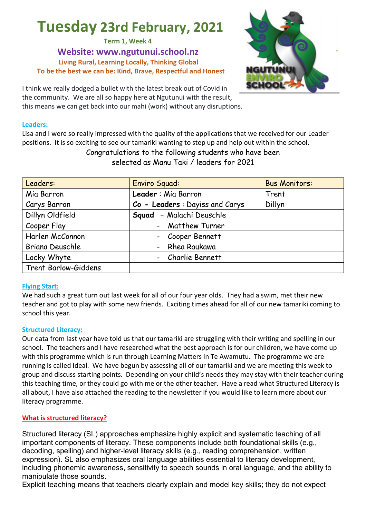# **Tuesday 23rd February, 2021**

**Term 1, Week 4 Website: www.ngutunui.school.nz Living Rural, Learning Locally, Thinking Global To be the best we can be: Kind, Brave, Respectful and Honest**

I think we really dodged a bullet with the latest break out of Covid in the community. We are all so happy here at Ngutunui with the result, this means we can get back into our mahi (work) without any disruptions.

#### **Leaders:**

Lisa and I were so really impressed with the quality of the applications that we received for our Leader positions. It is so exciting to see our tamariki wanting to step up and help out within the school. Congratulations to the following students who have been selected as Manu Taki / leaders for 2021

| Leaders:             | <b>Enviro Squad:</b>           | <b>Bus Monitors:</b> |
|----------------------|--------------------------------|----------------------|
| Mia Barron           | Leader: Mia Barron             | Trent                |
| Carys Barron         | Co - Leaders: Dayiss and Carys | Dillyn               |
| Dillyn Oldfield      | Squad - Malachi Deuschle       |                      |
| Cooper Flay          | - Matthew Turner               |                      |
| Harlen McConnon      | - Cooper Bennett               |                      |
| Briana Deuschle      | - Rhea Raukawa                 |                      |
| Locky Whyte          | - Charlie Bennett              |                      |
| Trent Barlow-Giddens |                                |                      |

#### **Flying Start:**

We had such a great turn out last week for all of our four year olds. They had a swim, met their new teacher and got to play with some new friends. Exciting times ahead for all of our new tamariki coming to school this year.

#### **Structured Literacy:**

Our data from last year have told us that our tamariki are struggling with their writing and spelling in our school. The teachers and I have researched what the best approach is for our children, we have come up with this programme which is run through Learning Matters in Te Awamutu. The programme we are running is called Ideal. We have begun by assessing all of our tamariki and we are meeting this week to group and discuss starting points. Depending on your child's needs they may stay with their teacher during this teaching time, or they could go with me or the other teacher. Have a read what Structured Literacy is all about, I have also attached the reading to the newsletter if you would like to learn more about our literacy programme.

#### **What is structured literacy?**

Structured literacy (SL) approaches emphasize highly explicit and systematic teaching of all important components of literacy. These components include both foundational skills (e.g., decoding, spelling) and higher-level literacy skills (e.g., reading comprehension, written expression). SL also emphasizes oral language abilities essential to literacy development, including phonemic awareness, sensitivity to speech sounds in oral language, and the ability to manipulate those sounds.

Explicit teaching means that teachers clearly explain and model key skills; they do not expect

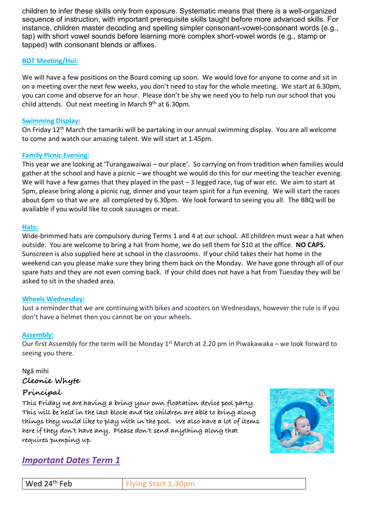children to infer these skills only from exposure. Systematic means that there is a well-organized sequence of instruction, with important prerequisite skills taught before more advanced skills. For instance, children master decoding and spelling simpler consonant-vowel-consonant words (e.g., tap) with short vowel sounds before learning more complex short-vowel words (e.g., stamp or tapped) with consonant blends or affixes.

### **BOT Meeting/Hui:**

We will have a few positions on the Board coming up soon. We would love for anyone to come and sit in on a meeting over the next few weeks, you don't need to stay for the whole meeting. We start at 6.30pm, you can come and observe for an hour. Please don't be shy we need you to help run our school that you child attends. Out next meeting in March 9<sup>th</sup> at 6.30pm.

#### **Swimming Display:**

On Friday 12th March the tamariki will be partaking in our annual swimming display. You are all welcome to come and watch our amazing talent. We will start at 1.45pm.

#### **Family Picnic Evening:**

This year we are looking at 'Turangawaiwai – our place'. So carrying on from tradition when families would gather at the school and have a picnic – we thought we would do this for our meeting the teacher evening. We will have a few games that they played in the past – 3 legged race, tug of war etc. We aim to start at 5pm, please bring along a picnic rug, dinner and your team spirit for a fun evening. We will start the races about 6pm so that we are all completed by 6.30pm. We look forward to seeing you all. The BBQ will be available if you would like to cook sausages or meat.

#### **Hats:**

Wide-brimmed hats are compulsory during Terms 1 and 4 at our school. All children must wear a hat when outside. You are welcome to bring a hat from home, we do sell them for \$10 at the office. **NO CAPS.**  Sunscreen is also supplied here at school in the classrooms. If your child takes their hat home in the weekend can you please make sure they bring them back on the Monday. We have gone through all of our spare hats and they are not even coming back. If your child does not have a hat from Tuesday they will be asked to sit in the shaded area.

#### **Wheels Wednesday:**

Just a reminder that we are continuing with bikes and scooters on Wednesdays, however the rule is if you don't have a helmet then you cannot be on your wheels.

#### **Assembly:**

Our first Assembly for the term will be Monday  $1<sup>st</sup>$  March at 2.20 pm in Piwakawaka – we look forward to seeing you there.

#### Ngā mihi **Cleonie Whyte**

## **Principal**

**This Friday we are having a bring your own floatation device pool party. This will be held in the last block and the children are able to bring along things they would like to play with in the pool. We also have a lot of items here if they don't have any. Please don't send anything along that requires pumping up.** 



# *Important Dates Term 1*

| '4 <sup>th</sup> Feb<br>W<br>$ -$ |
|-----------------------------------|
|-----------------------------------|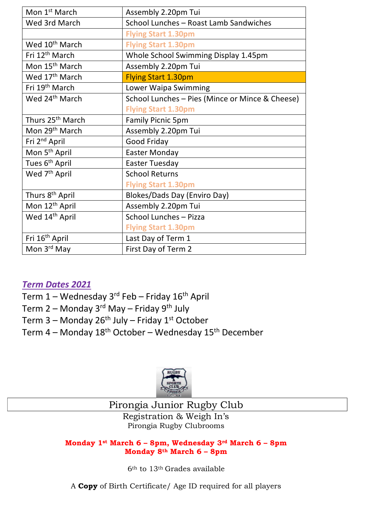| Mon 1 <sup>st</sup> March    | Assembly 2.20pm Tui                             |  |
|------------------------------|-------------------------------------------------|--|
| Wed 3rd March                | School Lunches - Roast Lamb Sandwiches          |  |
|                              | <b>Flying Start 1.30pm</b>                      |  |
| Wed 10 <sup>th</sup> March   | <b>Flying Start 1.30pm</b>                      |  |
| Fri 12 <sup>th</sup> March   | Whole School Swimming Display 1.45pm            |  |
| Mon 15 <sup>th</sup> March   | Assembly 2.20pm Tui                             |  |
| Wed 17 <sup>th</sup> March   | <b>Flying Start 1.30pm</b>                      |  |
| Fri 19 <sup>th</sup> March   | Lower Waipa Swimming                            |  |
| Wed 24 <sup>th</sup> March   | School Lunches - Pies (Mince or Mince & Cheese) |  |
|                              | <b>Flying Start 1.30pm</b>                      |  |
| Thurs 25 <sup>th</sup> March | <b>Family Picnic 5pm</b>                        |  |
| Mon 29 <sup>th</sup> March   | Assembly 2.20pm Tui                             |  |
| Fri 2 <sup>nd</sup> April    | Good Friday                                     |  |
| Mon 5 <sup>th</sup> April    | <b>Easter Monday</b>                            |  |
| Tues 6 <sup>th</sup> April   | <b>Easter Tuesday</b>                           |  |
| Wed 7 <sup>th</sup> April    | <b>School Returns</b>                           |  |
|                              | <b>Flying Start 1.30pm</b>                      |  |
| Thurs 8 <sup>th</sup> April  | Blokes/Dads Day (Enviro Day)                    |  |
| Mon 12 <sup>th</sup> April   | Assembly 2.20pm Tui                             |  |
| Wed 14th April               | School Lunches - Pizza                          |  |
|                              | <b>Flying Start 1.30pm</b>                      |  |
| Fri 16 <sup>th</sup> April   | Last Day of Term 1                              |  |
| Mon 3rd May                  | First Day of Term 2                             |  |

# *Term Dates 2021*

- Term  $1 -$  Wednesday 3<sup>rd</sup> Feb Friday 16<sup>th</sup> April
- Term 2 Monday 3<sup>rd</sup> May Friday 9<sup>th</sup> July
- Term 3 Monday 26<sup>th</sup> July Friday 1<sup>st</sup> October
- Term  $4$  Monday 18<sup>th</sup> October Wednesday 15<sup>th</sup> December



# Pirongia Junior Rugby Club

Registration & Weigh In's Pirongia Rugby Clubrooms

## **Monday 1st March 6 – 8pm, Wednesday 3rd March 6 – 8pm Monday 8th March 6 – 8pm**

6th to 13th Grades available

A **Copy** of Birth Certificate/ Age ID required for all players